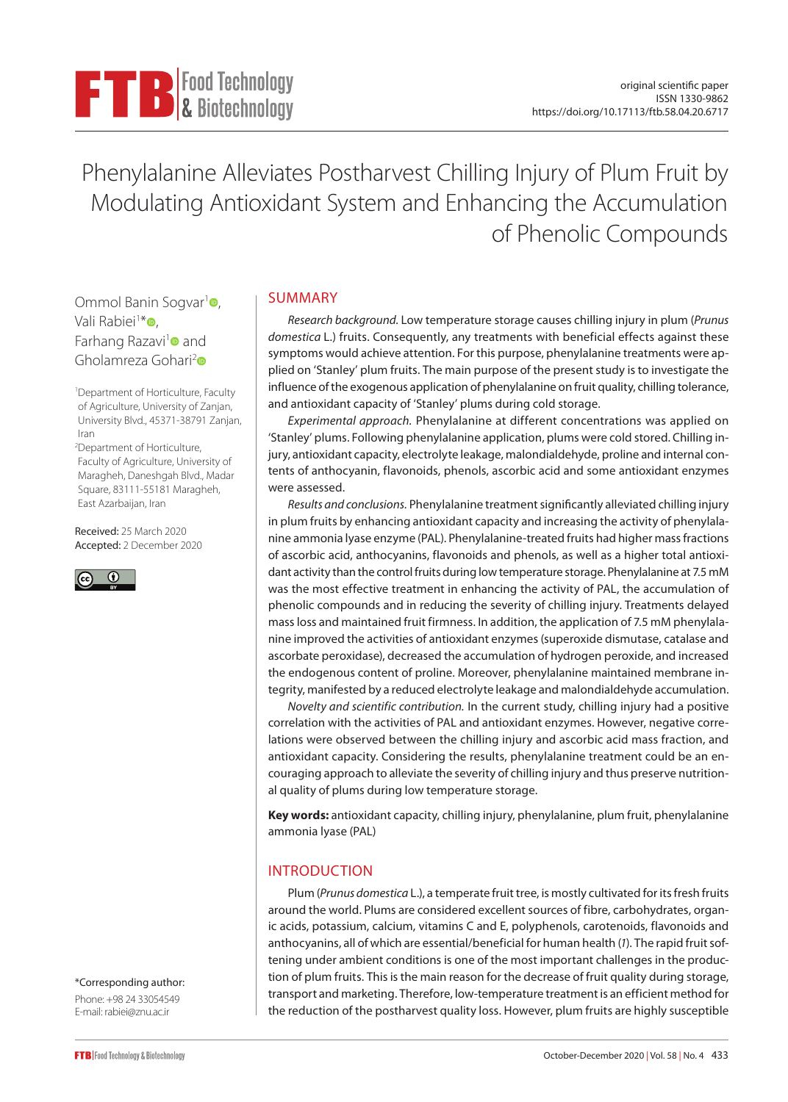

Phenylalanine Alleviates Postharvest Chilling Injury of Plum Fruit by Modulating Antioxidant System and Enhancing the Accumulation of Phenolic Compounds

Ommol Banin Sogvar<sup>[1](https://orcid.org/0000-0002-1424-7640)</sup><sup>o</sup>. Vali Rabiei<sup>1∗</sup>⊕, Farhang Razavi<sup>1</sup> and Gholamreza Gohari<sup>[2](https://orcid.org/0000-0002-1625-5978)</sup>

1 Department of Horticulture, Faculty of Agriculture, University of Zanjan, University Blvd., 45371-38791 Zanjan, Iran

2 Department of Horticulture, Faculty of Agriculture, University of Maragheh, Daneshgah Blvd., Madar Square, 83111-55181 Maragheh, East Azarbaijan, Iran

Received: 25 March 2020 Accepted: 2 December 2020



SUMMARY

*Research background.* Low temperature storage causes chilling injury in plum (*Prunus domestica* L*.*) fruits. Consequently, any treatments with beneficial effects against these symptoms would achieve attention. For this purpose, phenylalanine treatments were applied on 'Stanley' plum fruits. The main purpose of the present study is to investigate the influence of the exogenous application of phenylalanine on fruit quality, chilling tolerance, and antioxidant capacity of 'Stanley' plums during cold storage.

*Experimental approach.* Phenylalanine at different concentrations was applied on 'Stanley' plums. Following phenylalanine application, plums were cold stored. Chilling injury, antioxidant capacity, electrolyte leakage, malondialdehyde, proline and internal contents of anthocyanin, flavonoids, phenols, ascorbic acid and some antioxidant enzymes were assessed.

*Results and conclusions.* Phenylalanine treatment significantly alleviated chilling injury in plum fruits by enhancing antioxidant capacity and increasing the activity of phenylalanine ammonia lyase enzyme (PAL). Phenylalanine-treated fruits had higher mass fractions of ascorbic acid, anthocyanins, flavonoids and phenols, as well as a higher total antioxidant activity than the control fruits during low temperature storage. Phenylalanine at 7.5 mM was the most effective treatment in enhancing the activity of PAL, the accumulation of phenolic compounds and in reducing the severity of chilling injury. Treatments delayed mass loss and maintained fruit firmness. In addition, the application of 7.5 mM phenylalanine improved the activities of antioxidant enzymes (superoxide dismutase, catalase and ascorbate peroxidase), decreased the accumulation of hydrogen peroxide, and increased the endogenous content of proline. Moreover, phenylalanine maintained membrane integrity, manifested by a reduced electrolyte leakage and malondialdehyde accumulation.

*Novelty and scientific contribution.* In the current study, chilling injury had a positive correlation with the activities of PAL and antioxidant enzymes. However, negative correlations were observed between the chilling injury and ascorbic acid mass fraction, and antioxidant capacity. Considering the results, phenylalanine treatment could be an encouraging approach to alleviate the severity of chilling injury and thus preserve nutritional quality of plums during low temperature storage.

**Key words:** antioxidant capacity, chilling injury, phenylalanine, plum fruit, phenylalanine ammonia lyase (PAL)

# INTRODUCTION

Plum (*Prunus domestica* L.), a temperate fruit tree, is mostly cultivated for its fresh fruits around the world. Plums are considered excellent sources of fibre, carbohydrates, organic acids, potassium, calcium, vitamins C and E, polyphenols, carotenoids, flavonoids and anthocyanins, all of which are essential/beneficial for human health (*1*). The rapid fruit softening under ambient conditions is one of the most important challenges in the production of plum fruits. This is the main reason for the decrease of fruit quality during storage, transport and marketing. Therefore, low-temperature treatment is an efficient method for the reduction of the postharvest quality loss. However, plum fruits are highly susceptible

\*Corresponding author: Phone: +98 24 33054549 E-mail: rabiei@znu.ac.ir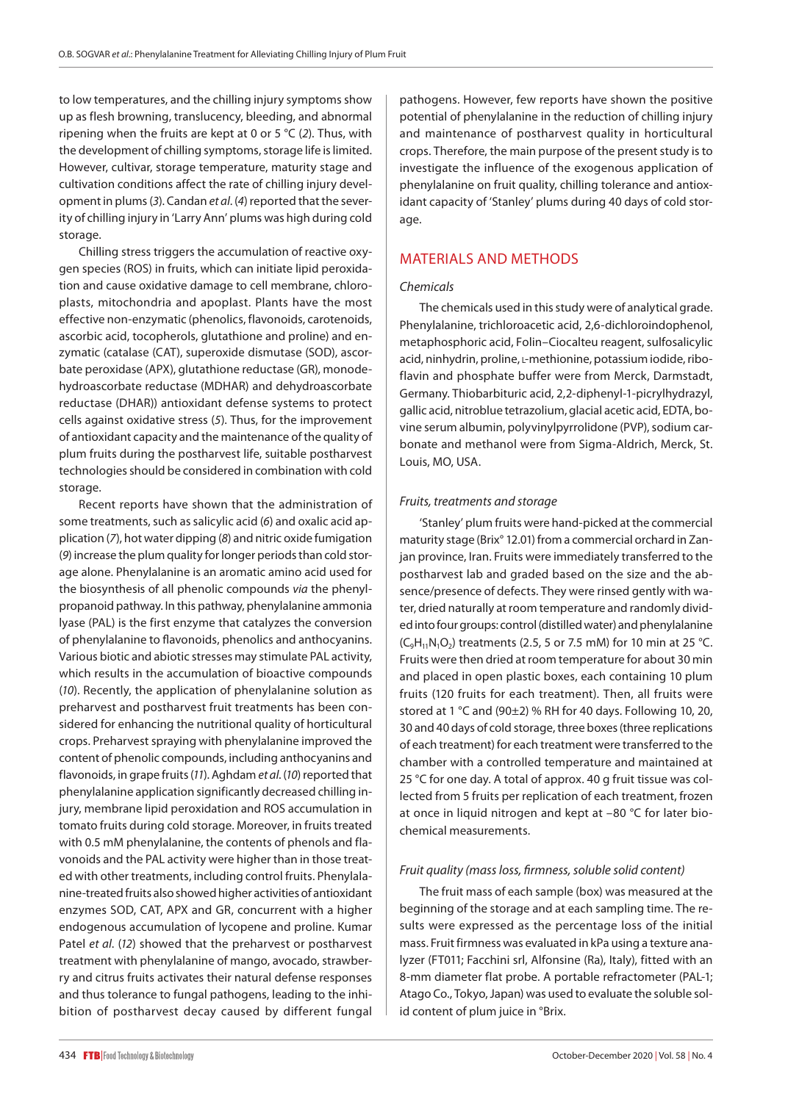to low temperatures, and the chilling injury symptoms show up as flesh browning, translucency, bleeding, and abnormal ripening when the fruits are kept at 0 or 5 °C (*2*). Thus, with the development of chilling symptoms, storage life is limited. However, cultivar, storage temperature, maturity stage and cultivation conditions affect the rate of chilling injury development in plums (*3*). Candan *et al*. (*4*) reported that the severity of chilling injury in 'Larry Ann' plums was high during cold storage.

Chilling stress triggers the accumulation of reactive oxygen species (ROS) in fruits, which can initiate lipid peroxidation and cause oxidative damage to cell membrane, chloroplasts, mitochondria and apoplast. Plants have the most effective non-enzymatic (phenolics, flavonoids, carotenoids, ascorbic acid, tocopherols, glutathione and proline) and enzymatic (catalase (CAT), superoxide dismutase (SOD), ascorbate peroxidase (APX), glutathione reductase (GR), monodehydroascorbate reductase (MDHAR) and dehydroascorbate reductase (DHAR)) antioxidant defense systems to protect cells against oxidative stress (*5*). Thus, for the improvement of antioxidant capacity and the maintenance of the quality of plum fruits during the postharvest life, suitable postharvest technologies should be considered in combination with cold storage.

Recent reports have shown that the administration of some treatments, such as salicylic acid (*6*) and oxalic acid application (*7*), hot water dipping (*8*) and nitric oxide fumigation (*9*) increase the plum quality for longer periods than cold storage alone. Phenylalanine is an aromatic amino acid used for the biosynthesis of all phenolic compounds *via* the phenylpropanoid pathway. In this pathway, phenylalanine ammonia lyase (PAL) is the first enzyme that catalyzes the conversion of phenylalanine to flavonoids, phenolics and anthocyanins. Various biotic and abiotic stresses may stimulate PAL activity, which results in the accumulation of bioactive compounds (*10*). Recently, the application of phenylalanine solution as preharvest and postharvest fruit treatments has been considered for enhancing the nutritional quality of horticultural crops. Preharvest spraying with phenylalanine improved the content of phenolic compounds, including anthocyanins and flavonoids, in grape fruits (*11*). Aghdam *et al*. (*10*) reported that phenylalanine application significantly decreased chilling injury, membrane lipid peroxidation and ROS accumulation in tomato fruits during cold storage. Moreover, in fruits treated with 0.5 mM phenylalanine, the contents of phenols and flavonoids and the PAL activity were higher than in those treated with other treatments, including control fruits. Phenylalanine-treated fruits also showed higher activities of antioxidant enzymes SOD, CAT, APX and GR, concurrent with a higher endogenous accumulation of lycopene and proline. Kumar Patel *et al*. (*12*) showed that the preharvest or postharvest treatment with phenylalanine of mango, avocado, strawberry and citrus fruits activates their natural defense responses and thus tolerance to fungal pathogens, leading to the inhibition of postharvest decay caused by different fungal pathogens. However, few reports have shown the positive potential of phenylalanine in the reduction of chilling injury and maintenance of postharvest quality in horticultural crops. Therefore, the main purpose of the present study is to investigate the influence of the exogenous application of phenylalanine on fruit quality, chilling tolerance and antioxidant capacity of 'Stanley' plums during 40 days of cold storage.

## MATERIALS AND METHODS

### *Chemicals*

The chemicals used in this study were of analytical grade. Phenylalanine, trichloroacetic acid, 2,6-dichloroindophenol, metaphosphoric acid, Folin–Ciocalteu reagent, sulfosalicylic acid, ninhydrin, proline, L-methionine, potassium iodide, riboflavin and phosphate buffer were from Merck, Darmstadt, Germany. Thiobarbituric acid, 2,2-diphenyl-1-picrylhydrazyl, gallic acid, nitroblue tetrazolium, glacial acetic acid, EDTA, bovine serum albumin, polyvinylpyrrolidone (PVP), sodium carbonate and methanol were from Sigma-Aldrich, Merck, St. Louis, MO, USA.

#### *Fruits, treatments and storage*

'Stanley' plum fruits were hand-picked at the commercial maturity stage (Brix° 12.01) from a commercial orchard in Zanjan province, Iran. Fruits were immediately transferred to the postharvest lab and graded based on the size and the absence/presence of defects. They were rinsed gently with water, dried naturally at room temperature and randomly divided into four groups: control (distilled water) and phenylalanine  $(C_9H_{11}N_1O_2)$  treatments (2.5, 5 or 7.5 mM) for 10 min at 25 °C. Fruits were then dried at room temperature for about 30 min and placed in open plastic boxes, each containing 10 plum fruits (120 fruits for each treatment). Then, all fruits were stored at 1 °C and (90±2) % RH for 40 days. Following 10, 20, 30 and 40 days of cold storage, three boxes (three replications of each treatment) for each treatment were transferred to the chamber with a controlled temperature and maintained at 25 °C for one day. A total of approx. 40 g fruit tissue was collected from 5 fruits per replication of each treatment, frozen at once in liquid nitrogen and kept at –80 °C for later biochemical measurements.

### *Fruit quality (mass loss, firmness, soluble solid content)*

The fruit mass of each sample (box) was measured at the beginning of the storage and at each sampling time. The results were expressed as the percentage loss of the initial mass. Fruit firmness was evaluated in kPa using a texture analyzer (FT011; Facchini srl, Alfonsine (Ra), Italy), fitted with an 8-mm diameter flat probe. A portable refractometer (PAL-1; Atago Co., Tokyo, Japan) was used to evaluate the soluble solid content of plum juice in °Brix.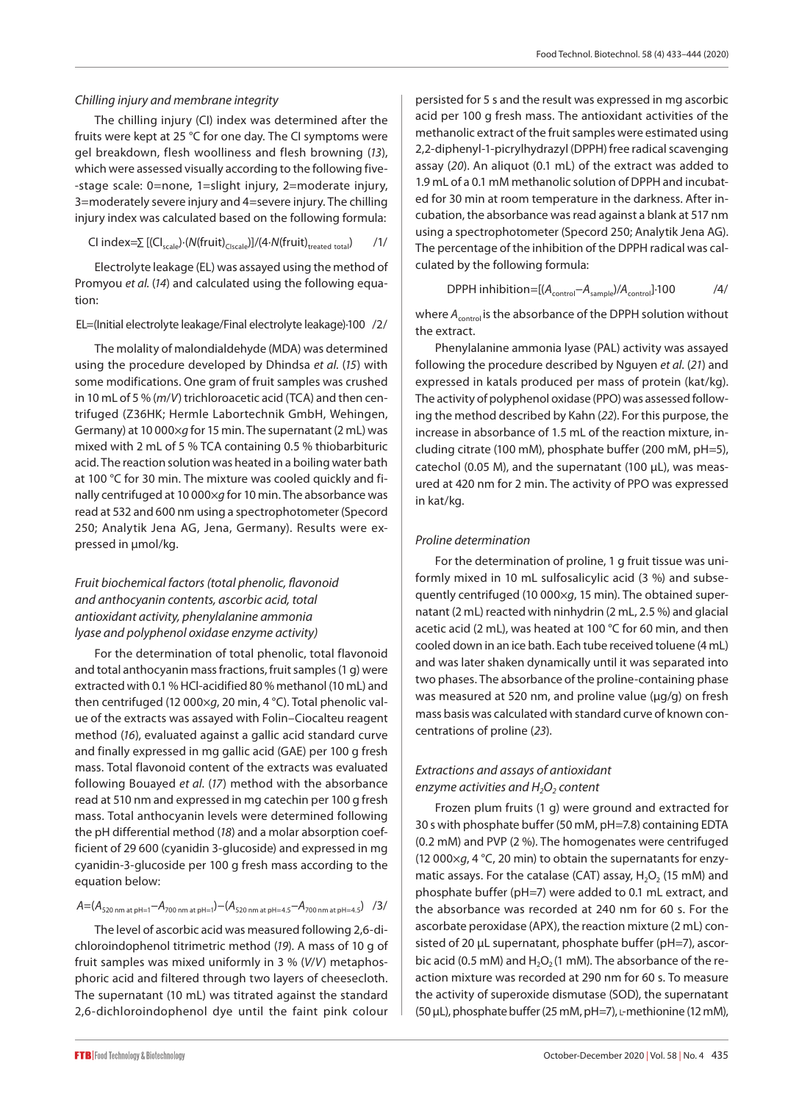### *Chilling injury and membrane integrity*

The chilling injury (CI) index was determined after the fruits were kept at 25 °C for one day. The CI symptoms were gel breakdown, flesh woolliness and flesh browning (*13*), which were assessed visually according to the following five- -stage scale: 0=none, 1=slight injury, 2=moderate injury, 3=moderately severe injury and 4=severe injury. The chilling injury index was calculated based on the following formula:

$$
CI\ index = \sum [(CI_{scale})\cdot (N(fruit)_{CIscale})]/(4\cdot N(fruit)_{treated\ total})/(1/
$$

Electrolyte leakage (EL) was assayed using the method of Promyou *et al.* (*14*) and calculated using the following equation:

### EL=(Initial electrolyte leakage/Final electrolyte leakage)·100 /2/

The molality of malondialdehyde (MDA) was determined using the procedure developed by Dhindsa *et al.* (*15*) with some modifications. One gram of fruit samples was crushed in 10 mL of 5 % (*m*/*V*) trichloroacetic acid (TCA) and then centrifuged (Z36HK; Hermle Labortechnik GmbH, Wehingen, Germany) at 10 000×*g* for 15 min. The supernatant (2 mL) was mixed with 2 mL of 5 % TCA containing 0.5 % thiobarbituric acid. The reaction solution was heated in a boiling water bath at 100 °C for 30 min. The mixture was cooled quickly and finally centrifuged at 10 000×*g* for 10 min. The absorbance was read at 532 and 600 nm using a spectrophotometer (Specord 250; Analytik Jena AG, Jena, Germany). Results were expressed in μmol/kg.

## *Fruit biochemical factors (total phenolic, flavonoid and anthocyanin contents, ascorbic acid, total antioxidant activity, phenylalanine ammonia lyase and polyphenol oxidase enzyme activity)*

For the determination of total phenolic, total flavonoid and total anthocyanin mass fractions, fruit samples (1 g) were extracted with 0.1 % HCl-acidified 80 % methanol (10 mL) and then centrifuged (12 000×*g*, 20 min, 4 °C). Total phenolic value of the extracts was assayed with Folin–Ciocalteu reagent method (*16*), evaluated against a gallic acid standard curve and finally expressed in mg gallic acid (GAE) per 100 g fresh mass. Total flavonoid content of the extracts was evaluated following Bouayed *et al*. (*17*) method with the absorbance read at 510 nm and expressed in mg catechin per 100 g fresh mass. Total anthocyanin levels were determined following the pH differential method (*18*) and a molar absorption coefficient of 29 600 (cyanidin 3-glucoside) and expressed in mg cyanidin-3-glucoside per 100 g fresh mass according to the equation below:

## *A*=(*A*520 nm at pH=1−*A*700 nm at pH=1)−(*A*520 nm at pH=4.5−*A*700 nm at pH=4.5) /3/

The level of ascorbic acid was measured following 2,6-dichloroindophenol titrimetric method (*19*). A mass of 10 g of fruit samples was mixed uniformly in 3 % (*V*/*V*) metaphosphoric acid and filtered through two layers of cheesecloth. The supernatant (10 mL) was titrated against the standard 2,6-dichloroindophenol dye until the faint pink colour persisted for 5 s and the result was expressed in mg ascorbic acid per 100 g fresh mass. The antioxidant activities of the methanolic extract of the fruit samples were estimated using 2,2-diphenyl-1-picrylhydrazyl (DPPH) free radical scavenging assay (*20*). An aliquot (0.1 mL) of the extract was added to 1.9 mL of a 0.1 mM methanolic solution of DPPH and incubated for 30 min at room temperature in the darkness. After incubation, the absorbance was read against a blank at 517 nm using a spectrophotometer (Specord 250; Analytik Jena AG). The percentage of the inhibition of the DPPH radical was calculated by the following formula:

$$
DPPH inhibition=[(A_{control}-A_{sample})/A_{control}]\cdot 100
$$

where *A<sub>control</sub>* is the absorbance of the DPPH solution without the extract.

Phenylalanine ammonia lyase (PAL) activity was assayed following the procedure described by Nguyen *et al*. (*21*) and expressed in katals produced per mass of protein (kat/kg). The activity of polyphenol oxidase (PPO) was assessed following the method described by Kahn (*22*). For this purpose, the increase in absorbance of 1.5 mL of the reaction mixture, including citrate (100 mM), phosphate buffer (200 mM, pH=5), catechol (0.05 M), and the supernatant (100 μL), was measured at 420 nm for 2 min. The activity of PPO was expressed in kat/kg.

### *Proline determination*

For the determination of proline, 1 g fruit tissue was uniformly mixed in 10 mL sulfosalicylic acid (3 %) and subsequently centrifuged (10 000×*g*, 15 min). The obtained supernatant (2 mL) reacted with ninhydrin (2 mL, 2.5 %) and glacial acetic acid (2 mL), was heated at 100 °C for 60 min, and then cooled down in an ice bath. Each tube received toluene (4 mL) and was later shaken dynamically until it was separated into two phases. The absorbance of the proline-containing phase was measured at 520 nm, and proline value (µg/g) on fresh mass basis was calculated with standard curve of known concentrations of proline (*23*).

## *Extractions and assays of antioxidant enzyme activities and H<sub>2</sub>O<sub>2</sub> content*

Frozen plum fruits (1 g) were ground and extracted for 30 s with phosphate buffer (50 mM, pH=7.8) containing EDTA (0.2 mM) and PVP (2 %). The homogenates were centrifuged (12 000×*g*, 4 °C, 20 min) to obtain the supernatants for enzymatic assays. For the catalase (CAT) assay,  $H_2O_2$  (15 mM) and phosphate buffer (pH=7) were added to 0.1 mL extract, and the absorbance was recorded at 240 nm for 60 s. For the ascorbate peroxidase (APX), the reaction mixture (2 mL) consisted of 20 μL supernatant, phosphate buffer (pH=7), ascorbic acid (0.5 mM) and  $H_2O_2(1 \text{ mM})$ . The absorbance of the reaction mixture was recorded at 290 nm for 60 s. To measure the activity of superoxide dismutase (SOD), the supernatant (50 μL), phosphate buffer (25 mM, pH=7), l-methionine (12 mM),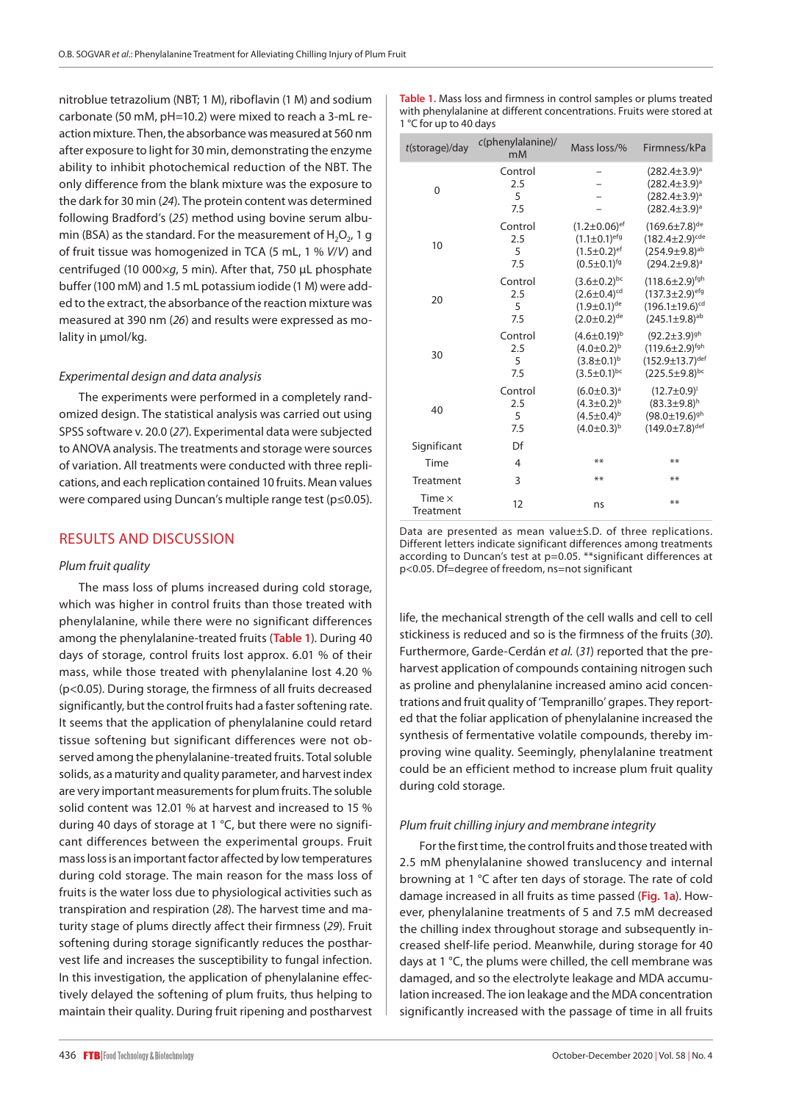nitroblue tetrazolium (NBT; 1 M), riboflavin (1 M) and sodium carbonate (50 mM, pH=10.2) were mixed to reach a 3-mL reaction mixture. Then, the absorbance was measured at 560 nm after exposure to light for 30 min, demonstrating the enzyme ability to inhibit photochemical reduction of the NBT. The only difference from the blank mixture was the exposure to the dark for 30 min (*24*). The protein content was determined following Bradford's (*25*) method using bovine serum albumin (BSA) as the standard. For the measurement of  $H_2O_2$ , 1 g of fruit tissue was homogenized in TCA (5 mL, 1 % *V*/*V*) and centrifuged (10 000×*g*, 5 min). After that, 750 µL phosphate buffer (100 mM) and 1.5 mL potassium iodide (1 M) were added to the extract, the absorbance of the reaction mixture was measured at 390 nm (*26*) and results were expressed as molality in μmol/kg.

### *Experimental design and data analysis*

The experiments were performed in a completely randomized design. The statistical analysis was carried out using SPSS software v. 20.0 (*27*). Experimental data were subjected to ANOVA analysis. The treatments and storage were sources of variation. All treatments were conducted with three replications, and each replication contained 10 fruits. Mean values were compared using Duncan's multiple range test (p≤0.05).

### RESULTS AND DISCUSSION

#### *Plum fruit quality*

The mass loss of plums increased during cold storage, which was higher in control fruits than those treated with phenylalanine, while there were no significant differences among the phenylalanine-treated fruits (**Table 1**). During 40 days of storage, control fruits lost approx. 6.01 % of their mass, while those treated with phenylalanine lost 4.20 % (p<0.05). During storage, the firmness of all fruits decreased significantly, but the control fruits had a faster softening rate. It seems that the application of phenylalanine could retard tissue softening but significant differences were not observed among the phenylalanine-treated fruits. Total soluble solids, as a maturity and quality parameter, and harvest index are very important measurements for plum fruits. The soluble solid content was 12.01 % at harvest and increased to 15 % during 40 days of storage at 1 °C, but there were no significant differences between the experimental groups. Fruit mass loss is an important factor affected by low temperatures during cold storage. The main reason for the mass loss of fruits is the water loss due to physiological activities such as transpiration and respiration (*28*). The harvest time and maturity stage of plums directly affect their firmness (*29*). Fruit softening during storage significantly reduces the postharvest life and increases the susceptibility to fungal infection. In this investigation, the application of phenylalanine effectively delayed the softening of plum fruits, thus helping to maintain their quality. During fruit ripening and postharvest

**Table 1.** Mass loss and firmness in control samples or plums treated with phenylalanine at different concentrations. Fruits were stored at 1 °C for up to 40 days

| $t$ (storage)/day          | $c$ (phenylalanine)/<br>m <sub>M</sub> | Mass loss/%                                                                                    | Firmness/kPa                                                                                                    |
|----------------------------|----------------------------------------|------------------------------------------------------------------------------------------------|-----------------------------------------------------------------------------------------------------------------|
| 0                          | Control<br>2.5<br>5<br>7.5             |                                                                                                | $(282.4 \pm 3.9)^a$<br>$(282.4 \pm 3.9)^a$<br>$(282.4 \pm 3.9)^a$<br>$(282.4 \pm 3.9)^a$                        |
| 10                         | Control<br>2.5<br>5<br>7.5             | $(1.2 \pm 0.06)^{ef}$<br>$(1.1 \pm 0.1)^{efg}$<br>$(1.5 \pm 0.2)^{ef}$<br>$(0.5 \pm 0.1)^{fg}$ | $(169.6 \pm 7.8)^{de}$<br>$(182.4 \pm 2.9)^{cde}$<br>$(254.9 \pm 9.8)^{ab}$<br>$(294.2 \pm 9.8)^a$              |
| 20                         | Control<br>2.5<br>5<br>7.5             | $(3.6 \pm 0.2)^{bc}$<br>$(2.6 \pm 0.4)^{cd}$<br>$(1.9 \pm 0.1)^{de}$<br>$(2.0 \pm 0.2)^{de}$   | $(118.6 \pm 2.9)^{fgh}$<br>$(137.3 \pm 2.9)^{efg}$<br>$(196.1 \pm 19.6)^{cd}$<br>$(245.1 \pm 9.8)^{ab}$         |
| 30                         | Control<br>2.5<br>5<br>7.5             | $(4.6 \pm 0.19)^{b}$<br>$(4.0 \pm 0.2)^{b}$<br>$(3.8 \pm 0.1)^{b}$<br>$(3.5 \pm 0.1)^{bc}$     | $(92.2 \pm 3.9)^{gh}$<br>$(119.6 \pm 2.9)^{fgh}$<br>$(152.9 \pm 13.7)$ <sup>def</sup><br>$(225.5 \pm 9.8)^{bc}$ |
| 40                         | Control<br>2.5<br>5<br>7.5             | $(6.0 \pm 0.3)^a$<br>$(4.3 \pm 0.2)^{b}$<br>$(4.5 \pm 0.4)^{b}$<br>$(4.0 \pm 0.3)^{b}$         | $(12.7 \pm 0.9)^1$<br>$(83.3 \pm 9.8)^h$<br>$(98.0 \pm 19.6)^{gh}$<br>$(149.0 \pm 7.8)^{\text{def}}$            |
| Significant                | Df                                     |                                                                                                |                                                                                                                 |
| Time                       | $\overline{4}$                         | **                                                                                             | **                                                                                                              |
| Treatment                  | 3                                      | **                                                                                             | **                                                                                                              |
| Time $\times$<br>Treatment | 12                                     | ns                                                                                             | **                                                                                                              |

Data are presented as mean value±S.D. of three replications. Different letters indicate significant differences among treatments according to Duncan's test at p=0.05. \*\*significant differences at p<0.05. Df=degree of freedom, ns=not significant

life, the mechanical strength of the cell walls and cell to cell stickiness is reduced and so is the firmness of the fruits (*30*). Furthermore, Garde-Cerdán *et al.* (*31*) reported that the preharvest application of compounds containing nitrogen such as proline and phenylalanine increased amino acid concentrations and fruit quality of 'Tempranillo' grapes. They reported that the foliar application of phenylalanine increased the synthesis of fermentative volatile compounds, thereby improving wine quality. Seemingly, phenylalanine treatment could be an efficient method to increase plum fruit quality during cold storage.

### *Plum fruit chilling injury and membrane integrity*

For the first time, the control fruits and those treated with 2.5 mM phenylalanine showed translucency and internal browning at 1 °C after ten days of storage. The rate of cold damage increased in all fruits as time passed (**Fig. 1a**). However, phenylalanine treatments of 5 and 7.5 mM decreased the chilling index throughout storage and subsequently increased shelf-life period. Meanwhile, during storage for 40 days at 1 °C, the plums were chilled, the cell membrane was damaged, and so the electrolyte leakage and MDA accumulation increased. The ion leakage and the MDA concentration significantly increased with the passage of time in all fruits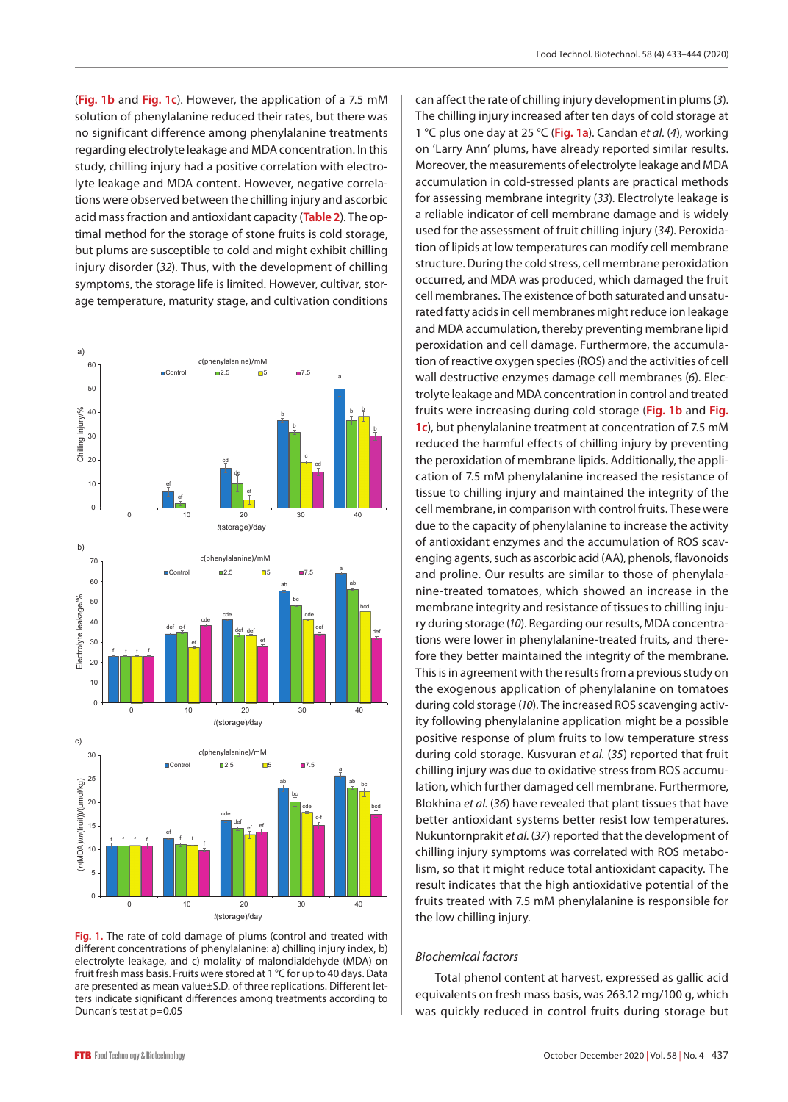(**Fig. 1b** and **Fig. 1c**). However, the application of a 7.5 mM solution of phenylalanine reduced their rates, but there was no significant difference among phenylalanine treatments regarding electrolyte leakage and MDA concentration. In this study, chilling injury had a positive correlation with electrolyte leakage and MDA content. However, negative correlations were observed between the chilling injury and ascorbic acid mass fraction and antioxidant capacity (**Table 2**). The optimal method for the storage of stone fruits is cold storage, but plums are susceptible to cold and might exhibit chilling injury disorder (*32*). Thus, with the development of chilling symptoms, the storage life is limited. However, cultivar, storage temperature, maturity stage, and cultivation conditions



**Fig. 1.** The rate of cold damage of plums (control and treated with different concentrations of phenylalanine: a) chilling injury index, b) electrolyte leakage, and c) molality of malondialdehyde (MDA) on fruit fresh mass basis. Fruits were stored at 1 °C for up to 40 days. Data are presented as mean value±S.D*.* of three replications. Different letters indicate significant differences among treatments according to Duncan's test at p=0.05

can affect the rate of chilling injury development in plums (*3*). The chilling injury increased after ten days of cold storage at 1 °C plus one day at 25 °C (**Fig. 1a**). Candan *et al.* (*4*), working on 'Larry Ann' plums, have already reported similar results. Moreover, the measurements of electrolyte leakage and MDA accumulation in cold-stressed plants are practical methods for assessing membrane integrity (*33*). Electrolyte leakage is a reliable indicator of cell membrane damage and is widely used for the assessment of fruit chilling injury (*34*). Peroxidation of lipids at low temperatures can modify cell membrane structure. During the cold stress, cell membrane peroxidation occurred, and MDA was produced, which damaged the fruit cell membranes. The existence of both saturated and unsaturated fatty acids in cell membranes might reduce ion leakage and MDA accumulation, thereby preventing membrane lipid peroxidation and cell damage. Furthermore, the accumulation of reactive oxygen species (ROS) and the activities of cell wall destructive enzymes damage cell membranes (*6*). Electrolyte leakage and MDA concentration in control and treated fruits were increasing during cold storage (**Fig. 1b** and **Fig. 1c**), but phenylalanine treatment at concentration of 7.5 mM reduced the harmful effects of chilling injury by preventing the peroxidation of membrane lipids. Additionally, the application of 7.5 mM phenylalanine increased the resistance of tissue to chilling injury and maintained the integrity of the cell membrane, in comparison with control fruits. These were due to the capacity of phenylalanine to increase the activity of antioxidant enzymes and the accumulation of ROS scavenging agents, such as ascorbic acid (AA), phenols, flavonoids and proline. Our results are similar to those of phenylalanine-treated tomatoes, which showed an increase in the membrane integrity and resistance of tissues to chilling injury during storage (*10*). Regarding our results, MDA concentrations were lower in phenylalanine-treated fruits, and therefore they better maintained the integrity of the membrane. This is in agreement with the results from a previous study on the exogenous application of phenylalanine on tomatoes during cold storage (*10*). The increased ROS scavenging activity following phenylalanine application might be a possible positive response of plum fruits to low temperature stress during cold storage. Kusvuran *et al.* (*35*) reported that fruit chilling injury was due to oxidative stress from ROS accumulation, which further damaged cell membrane. Furthermore, Blokhina *et al.* (*36*) have revealed that plant tissues that have better antioxidant systems better resist low temperatures. Nukuntornprakit *et al.* (*37*) reported that the development of chilling injury symptoms was correlated with ROS metabolism, so that it might reduce total antioxidant capacity. The result indicates that the high antioxidative potential of the fruits treated with 7.5 mM phenylalanine is responsible for the low chilling injury.

## *Biochemical factors*

Total phenol content at harvest, expressed as gallic acid equivalents on fresh mass basis, was 263.12 mg/100 g, which was quickly reduced in control fruits during storage but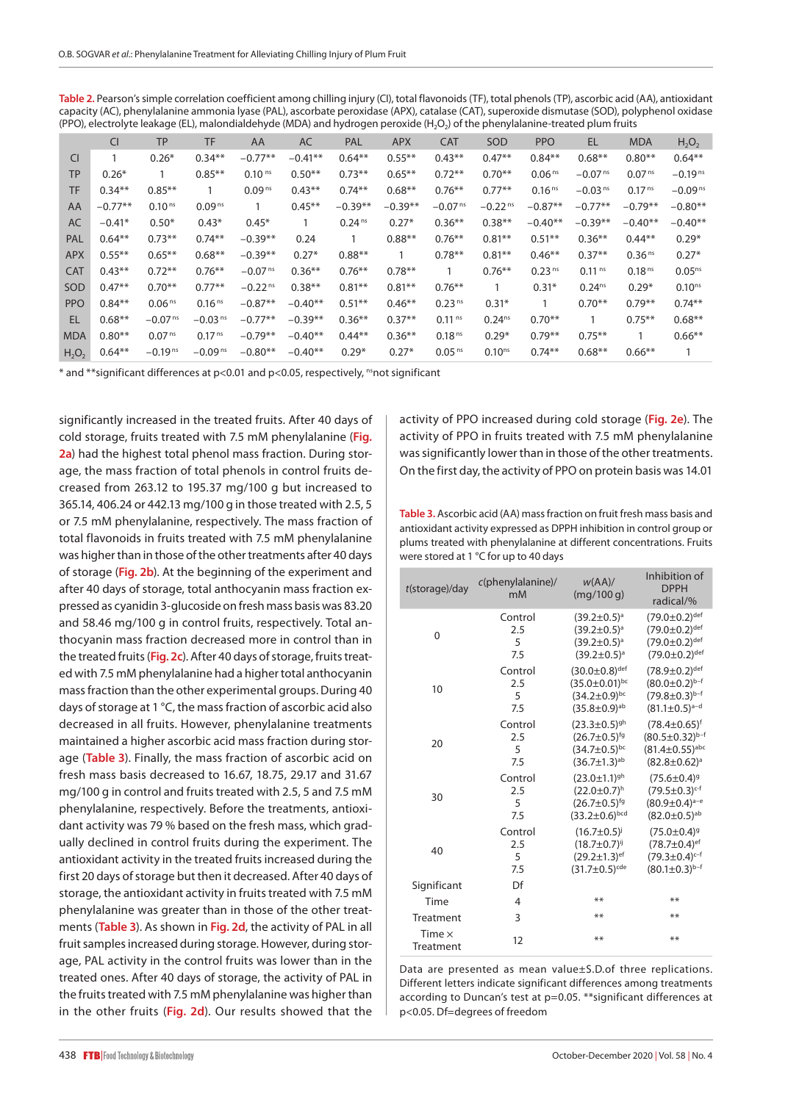| Table 2. Pearson's simple correlation coefficient among chilling injury (CI), total flavonoids (TF), total phenols (TP), ascorbic acid (AA), antioxidant |
|----------------------------------------------------------------------------------------------------------------------------------------------------------|
| capacity (AC), phenylalanine ammonia lyase (PAL), ascorbate peroxidase (APX), catalase (CAT), superoxide dismutase (SOD), polyphenol oxidase             |
| (PPO), electrolyte leakage (EL), malondialdehyde (MDA) and hydrogen peroxide (H <sub>2</sub> O <sub>2</sub> ) of the phenylalanine-treated plum fruits   |

|            | <b>CI</b> | <b>TP</b>             | <b>TF</b>             | AA                    | AC           | PAL                | <b>APX</b> | <b>CAT</b>            | SOD                   | <b>PPO</b>         | <b>EL</b>             | <b>MDA</b>         | $H_2O_2$     |
|------------|-----------|-----------------------|-----------------------|-----------------------|--------------|--------------------|------------|-----------------------|-----------------------|--------------------|-----------------------|--------------------|--------------|
| <b>CI</b>  | 1         | $0.26*$               | $0.34***$             | $-0.77**$             | $-0.41**$    | $0.64***$          | $0.55***$  | $0.43**$              | $0.47**$              | $0.84**$           | $0.68**$              | $0.80**$           | $0.64**$     |
| <b>TP</b>  | $0.26*$   | $\mathbf{1}$          | $0.85***$             | 0.10 <sup>ns</sup>    | $0.50**$     | $0.73**$           | $0.65***$  | $0.72**$              | $0.70**$              | 0.06 <sup>ns</sup> | $-0.07$ <sup>ns</sup> | 0.07 <sup>ns</sup> | $-0.19^{ns}$ |
| <b>TF</b>  | $0.34**$  | $0.85***$             |                       | 0.09 <sup>ns</sup>    | $0.43**$     | $0.74***$          | $0.68**$   | $0.76**$              | $0.77**$              | 0.16 <sup>ns</sup> | $-0.03$ <sup>ns</sup> | 0.17 <sup>ns</sup> | $-0.09^{ns}$ |
| AA         | $-0.77**$ | 0.10 <sup>ns</sup>    | 0.09 <sup>ns</sup>    | $\mathbf{1}$          | $0.45***$    | $-0.39**$          | $-0.39**$  | $-0.07$ <sup>ns</sup> | $-0.22$ <sup>ns</sup> | $-0.87**$          | $-0.77**$             | $-0.79**$          | $-0.80**$    |
| <b>AC</b>  | $-0.41*$  | $0.50*$               | $0.43*$               | $0.45*$               | $\mathbf{1}$ | 0.24 <sup>ns</sup> | $0.27*$    | $0.36***$             | $0.38**$              | $-0.40**$          | $-0.39**$             | $-0.40**$          | $-0.40**$    |
| PAL        | $0.64**$  | $0.73**$              | $0.74***$             | $-0.39**$             | 0.24         |                    | $0.88**$   | $0.76***$             | $0.81**$              | $0.51***$          | $0.36***$             | $0.44**$           | $0.29*$      |
| <b>APX</b> | $0.55***$ | $0.65***$             | $0.68**$              | $-0.39**$             | $0.27*$      | $0.88**$           | 1          | $0.78***$             | $0.81**$              | $0.46***$          | $0.37**$              | 0.36 <sup>ns</sup> | $0.27*$      |
| <b>CAT</b> | $0.43**$  | $0.72**$              | $0.76***$             | $-0.07$ <sup>ns</sup> | $0.36**$     | $0.76***$          | $0.78**$   | $\mathbf{1}$          | $0.76***$             | 0.23 <sup>ns</sup> | 0.11 <sup>ns</sup>    | 0.18 <sup>ns</sup> | $0.05^{ns}$  |
| SOD        | $0.47**$  | $0.70**$              | $0.77***$             | $-0.22$ <sup>ns</sup> | $0.38**$     | $0.81***$          | $0.81***$  | $0.76***$             | 1                     | $0.31*$            | $0.24^{ns}$           | $0.29*$            | $0.10^{ns}$  |
| <b>PPO</b> | $0.84**$  | 0.06 <sup>ns</sup>    | 0.16 <sup>ns</sup>    | $-0.87**$             | $-0.40**$    | $0.51***$          | $0.46**$   | 0.23 <sup>ns</sup>    | $0.31*$               | 1                  | $0.70**$              | $0.79***$          | $0.74**$     |
| EL         | $0.68**$  | $-0.07$ <sup>ns</sup> | $-0.03$ <sup>ns</sup> | $-0.77**$             | $-0.39**$    | $0.36***$          | $0.37**$   | 0.11 <sup>ns</sup>    | $0.24^{ns}$           | $0.70**$           | 1                     | $0.75***$          | $0.68**$     |
| <b>MDA</b> | $0.80**$  | 0.07 <sup>ns</sup>    | 0.17 <sup>ns</sup>    | $-0.79**$             | $-0.40**$    | $0.44**$           | $0.36***$  | 0.18 <sup>ns</sup>    | $0.29*$               | $0.79**$           | $0.75***$             |                    | $0.66**$     |
| $H_2O_2$   | $0.64**$  | $-0.19$ <sup>ns</sup> | $-0.09$ <sup>ns</sup> | $-0.80**$             | $-0.40**$    | $0.29*$            | $0.27*$    | 0.05 <sup>ns</sup>    | 0.10 <sup>ns</sup>    | $0.74***$          | $0.68***$             | $0.66**$           |              |

\* and \*\*significant differences at p<0.01 and p<0.05, respectively, <sup>ns</sup>not significant

significantly increased in the treated fruits. After 40 days of cold storage, fruits treated with 7.5 mM phenylalanine (**Fig. 2a**) had the highest total phenol mass fraction. During storage, the mass fraction of total phenols in control fruits decreased from 263.12 to 195.37 mg/100 g but increased to 365.14, 406.24 or 442.13 mg/100 g in those treated with 2.5, 5 or 7.5 mM phenylalanine, respectively. The mass fraction of total flavonoids in fruits treated with 7.5 mM phenylalanine was higher than in those of the other treatments after 40 days of storage (**Fig. 2b**). At the beginning of the experiment and after 40 days of storage, total anthocyanin mass fraction expressed as cyanidin 3-glucoside on fresh mass basis was 83.20 and 58.46 mg/100 g in control fruits, respectively. Total anthocyanin mass fraction decreased more in control than in the treated fruits (**Fig. 2c**). After 40 days of storage, fruits treated with 7.5 mM phenylalanine had a higher total anthocyanin mass fraction than the other experimental groups. During 40 days of storage at 1 °C, the mass fraction of ascorbic acid also decreased in all fruits. However, phenylalanine treatments maintained a higher ascorbic acid mass fraction during storage (**Table 3**). Finally, the mass fraction of ascorbic acid on fresh mass basis decreased to 16.67, 18.75, 29.17 and 31.67 mg/100 g in control and fruits treated with 2.5, 5 and 7.5 mM phenylalanine, respectively. Before the treatments, antioxidant activity was 79 % based on the fresh mass, which gradually declined in control fruits during the experiment. The antioxidant activity in the treated fruits increased during the first 20 days of storage but then it decreased. After 40 days of storage, the antioxidant activity in fruits treated with 7.5 mM phenylalanine was greater than in those of the other treatments (**Table 3**). As shown in **Fig. 2d**, the activity of PAL in all fruit samples increased during storage. However, during storage, PAL activity in the control fruits was lower than in the treated ones. After 40 days of storage, the activity of PAL in the fruits treated with 7.5 mM phenylalanine was higher than in the other fruits (**Fig. 2d**). Our results showed that the

activity of PPO increased during cold storage (**Fig. 2e**). The activity of PPO in fruits treated with 7.5 mM phenylalanine was significantly lower than in those of the other treatments. On the first day, the activity of PPO on protein basis was 14.01

**Table 3.** Ascorbic acid (AA) mass fraction on fruit fresh mass basis and antioxidant activity expressed as DPPH inhibition in control group or plums treated with phenylalanine at different concentrations. Fruits were stored at 1 °C for up to 40 days

| $t$ (storage)/day          | $c(phenylalanine)$ /<br>mM | W(AA)<br>(mq/100q)             | Inhibition of<br><b>DPPH</b><br>radical/% |
|----------------------------|----------------------------|--------------------------------|-------------------------------------------|
| $\overline{0}$             | Control                    | $(39.2 \pm 0.5)^a$             | $(79.0 \pm 0.2)$ def                      |
|                            | 2.5                        | $(39.2 \pm 0.5)^a$             | $(79.0 \pm 0.2)$ def                      |
|                            | 5                          | $(39.2 \pm 0.5)^a$             | $(79.0 \pm 0.2)^{\text{def}}$             |
|                            | 7.5                        | $(39.2 \pm 0.5)^a$             | $(79.0 \pm 0.2)$ <sup>def</sup>           |
| 10                         | Control                    | $(30.0 \pm 0.8)^{\text{def}}$  | $(78.9 \pm 0.2)$ def                      |
|                            | 2.5                        | $(35.0 \pm 0.01)^{bc}$         | $(80.0 \pm 0.2)^{b-f}$                    |
|                            | 5                          | $(34.2 \pm 0.9)^{bc}$          | $(79.8 \pm 0.3)^{b-f}$                    |
|                            | 7.5                        | $(35.8 \pm 0.9)$ <sup>ab</sup> | $(81.1 \pm 0.5)^{a-d}$                    |
| 20                         | Control                    | $(23.3 \pm 0.5)^{gh}$          | $(78.4 \pm 0.65)^f$                       |
|                            | 2.5                        | $(26.7 \pm 0.5)$ <sup>fg</sup> | $(80.5 \pm 0.32)^{b-f}$                   |
|                            | 5                          | $(34.7 \pm 0.5)^{bc}$          | $(81.4 \pm 0.55)^{abc}$                   |
|                            | 7.5                        | $(36.7 \pm 1.3)^{ab}$          | $(82.8 \pm 0.62)^a$                       |
| 30                         | Control                    | $(23.0 \pm 1.1)^{gh}$          | $(75.6 \pm 0.4)^9$                        |
|                            | 2.5                        | $(22.0 \pm 0.7)^h$             | $(79.5 \pm 0.3)^{c-f}$                    |
|                            | 5                          | $(26.7 \pm 0.5)^{fg}$          | $(80.9 \pm 0.4)$ <sup>a-e</sup>           |
|                            | 7.5                        | $(33.2 \pm 0.6)^{bcd}$         | $(82.0 \pm 0.5)^{ab}$                     |
| 40                         | Control                    | $(16.7 \pm 0.5)^{j}$           | $(75.0 \pm 0.4)^9$                        |
|                            | 2.5                        | $(18.7 \pm 0.7)^{ij}$          | $(78.7 \pm 0.4)^{ef}$                     |
|                            | 5                          | $(29.2 \pm 1.3)$ <sup>ef</sup> | $(79.3 \pm 0.4)^{c-f}$                    |
|                            | 7.5                        | $(31.7 \pm 0.5)^{cde}$         | $(80.1 \pm 0.3)^{b-f}$                    |
| Significant                | Df                         |                                |                                           |
| Time                       | $\overline{4}$             | **                             | **                                        |
| Treatment                  | 3                          | **                             | **                                        |
| Time $\times$<br>Treatment | 12                         | **                             | **                                        |

Data are presented as mean value±S.D*.*of three replications. Different letters indicate significant differences among treatments according to Duncan's test at p=0.05. \*\*significant differences at p<0.05. Df=degrees of freedom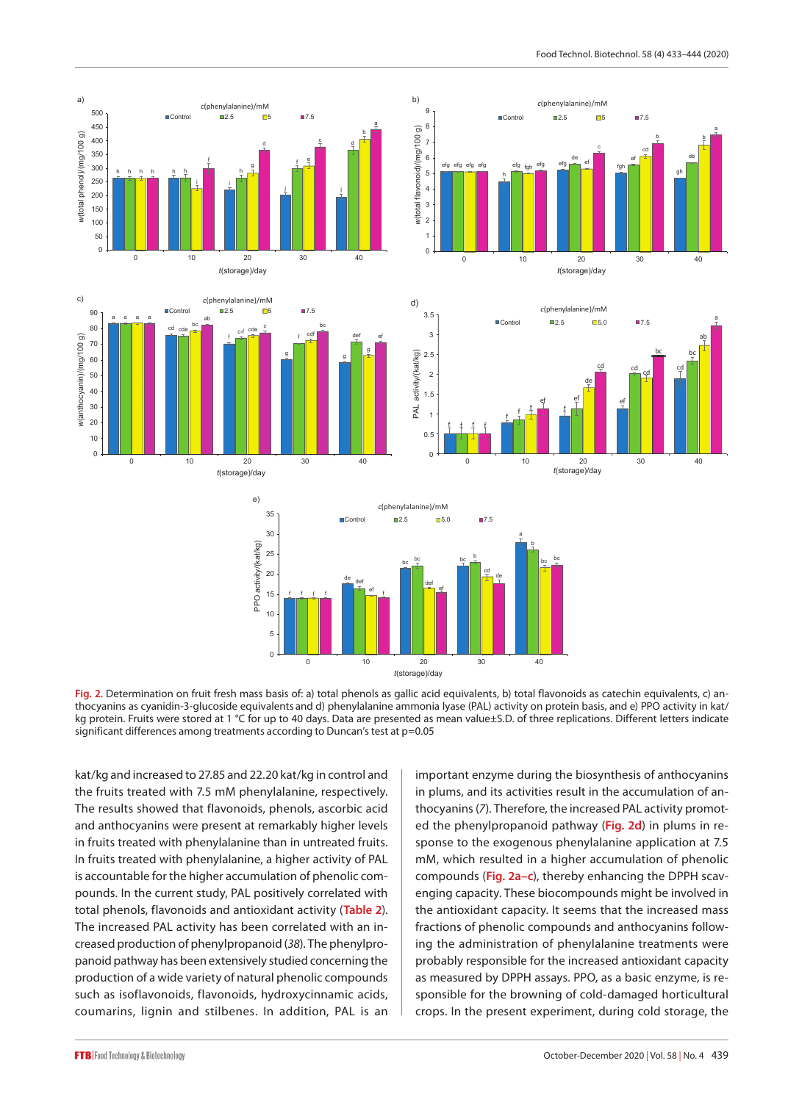

Fig. 2. Determination on fruit fresh mass basis of: a) total phenols as gallic acid equivalents, b) total flavonoids as catechin equivalents, c) anthocyanins as cyanidin-3-glucoside equivalents and d) phenylalanine ammonia lyase (PAL) activity on protein basis, and e) PPO activity in kat/ kg protein. Fruits were stored at 1 °C for up to 40 days. Data are presented as mean value±S.D. of three replications. Different letters indicate significant differences among treatments according to Duncan's test at p=0.05

kat/kg and increased to 27.85 and 22.20 kat/kg in control and the fruits treated with 7.5 mM phenylalanine, respectively. The results showed that flavonoids, phenols, ascorbic acid and anthocyanins were present at remarkably higher levels in fruits treated with phenylalanine than in untreated fruits. In fruits treated with phenylalanine, a higher activity of PAL is accountable for the higher accumulation of phenolic compounds. In the current study, PAL positively correlated with total phenols, flavonoids and antioxidant activity (**Table 2**). The increased PAL activity has been correlated with an increased production of phenylpropanoid (*38*). The phenylpropanoid pathway has been extensively studied concerning the production of a wide variety of natural phenolic compounds such as isoflavonoids, flavonoids, hydroxycinnamic acids, coumarins, lignin and stilbenes. In addition, PAL is an important enzyme during the biosynthesis of anthocyanins in plums, and its activities result in the accumulation of anthocyanins (*7*). Therefore, the increased PAL activity promoted the phenylpropanoid pathway (**Fig. 2d**) in plums in response to the exogenous phenylalanine application at 7.5 mM, which resulted in a higher accumulation of phenolic compounds (**Fig. 2a–c**), thereby enhancing the DPPH scavenging capacity. These biocompounds might be involved in the antioxidant capacity. It seems that the increased mass fractions of phenolic compounds and anthocyanins following the administration of phenylalanine treatments were probably responsible for the increased antioxidant capacity as measured by DPPH assays. PPO, as a basic enzyme, is responsible for the browning of cold-damaged horticultural crops. In the present experiment, during cold storage, the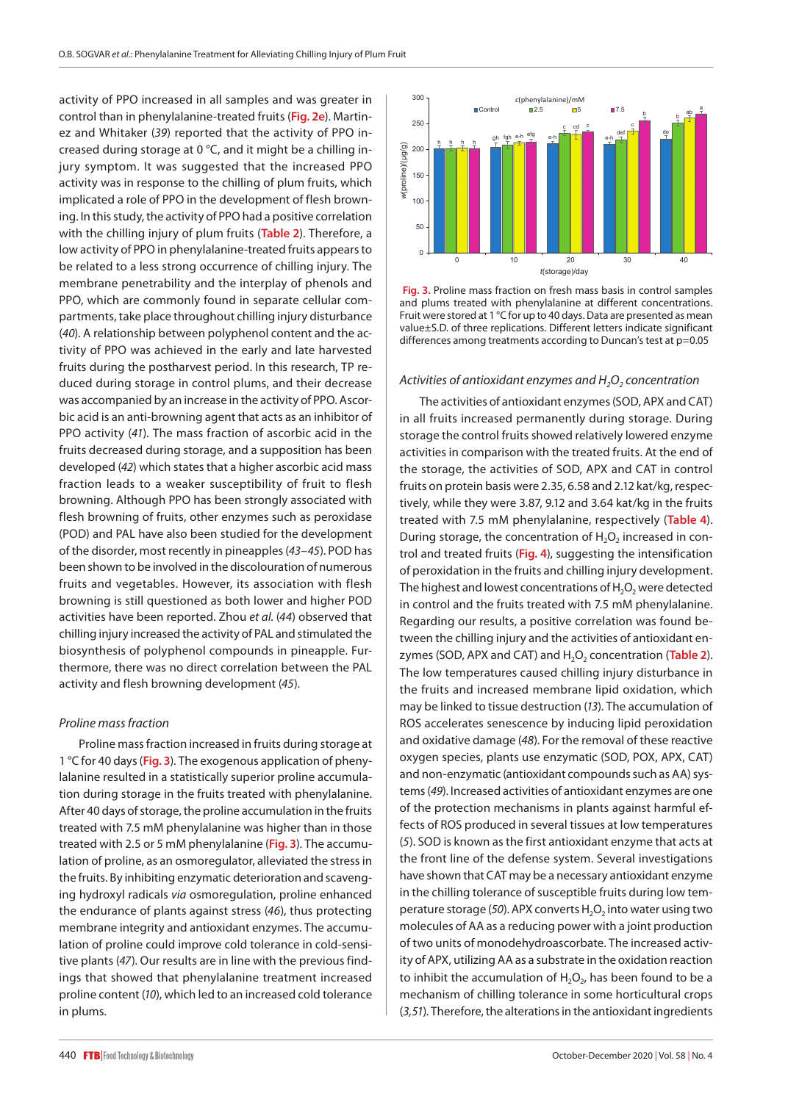activity of PPO increased in all samples and was greater in control than in phenylalanine-treated fruits (**Fig. 2e**). Martinez and Whitaker (*39*) reported that the activity of PPO increased during storage at 0 °C, and it might be a chilling injury symptom. It was suggested that the increased PPO activity was in response to the chilling of plum fruits, which implicated a role of PPO in the development of flesh browning. In this study, the activity of PPO had a positive correlation with the chilling injury of plum fruits (**Table 2**). Therefore, a low activity of PPO in phenylalanine-treated fruits appears to be related to a less strong occurrence of chilling injury. The membrane penetrability and the interplay of phenols and PPO, which are commonly found in separate cellular compartments, take place throughout chilling injury disturbance (*40*). A relationship between polyphenol content and the activity of PPO was achieved in the early and late harvested fruits during the postharvest period. In this research, TP reduced during storage in control plums, and their decrease was accompanied by an increase in the activity of PPO. Ascorbic acid is an anti-browning agent that acts as an inhibitor of PPO activity (*41*). The mass fraction of ascorbic acid in the fruits decreased during storage, and a supposition has been developed (*42*) which states that a higher ascorbic acid mass fraction leads to a weaker susceptibility of fruit to flesh browning. Although PPO has been strongly associated with flesh browning of fruits, other enzymes such as peroxidase (POD) and PAL have also been studied for the development of the disorder, most recently in pineapples (*43–45*). POD has been shown to be involved in the discolouration of numerous fruits and vegetables. However, its association with flesh browning is still questioned as both lower and higher POD activities have been reported. Zhou *et al.* (*44*) observed that chilling injury increased the activity of PAL and stimulated the biosynthesis of polyphenol compounds in pineapple. Furthermore, there was no direct correlation between the PAL activity and flesh browning development (*45*).

#### *Proline mass fraction*

Proline mass fraction increased in fruits during storage at 1 °C for 40 days (**Fig. 3**). The exogenous application of phenylalanine resulted in a statistically superior proline accumulation during storage in the fruits treated with phenylalanine. After 40 days of storage, the proline accumulation in the fruits treated with 7.5 mM phenylalanine was higher than in those treated with 2.5 or 5 mM phenylalanine (**Fig. 3**). The accumulation of proline, as an osmoregulator, alleviated the stress in the fruits. By inhibiting enzymatic deterioration and scavenging hydroxyl radicals *via* osmoregulation, proline enhanced the endurance of plants against stress (*46*), thus protecting membrane integrity and antioxidant enzymes. The accumulation of proline could improve cold tolerance in cold-sensitive plants (*47*). Our results are in line with the previous findings that showed that phenylalanine treatment increased proline content (*10*), which led to an increased cold tolerance in plums.



 **Fig. 3.** Proline mass fraction on fresh mass basis in control samples and plums treated with phenylalanine at different concentrations. Fruit were stored at 1 °C for up to 40 days. Data are presented as mean value±S.D. of three replications. Different letters indicate significant differences among treatments according to Duncan's test at p=0.05

#### *Activities of antioxidant enzymes and H<sub>2</sub>O<sub>2</sub> concentration*

The activities of antioxidant enzymes (SOD, APX and CAT) in all fruits increased permanently during storage. During storage the control fruits showed relatively lowered enzyme activities in comparison with the treated fruits. At the end of the storage, the activities of SOD, APX and CAT in control fruits on protein basis were 2.35, 6.58 and 2.12 kat/kg, respectively, while they were 3.87, 9.12 and 3.64 kat/kg in the fruits treated with 7.5 mM phenylalanine, respectively (**Table 4**). During storage, the concentration of  $H_2O_2$  increased in control and treated fruits (**Fig. 4**), suggesting the intensification of peroxidation in the fruits and chilling injury development. The highest and lowest concentrations of  $H_2O_2$  were detected in control and the fruits treated with 7.5 mM phenylalanine. Regarding our results, a positive correlation was found between the chilling injury and the activities of antioxidant enzymes (SOD, APX and CAT) and H<sub>2</sub>O<sub>2</sub> concentration (Table 2). The low temperatures caused chilling injury disturbance in the fruits and increased membrane lipid oxidation, which may be linked to tissue destruction (*13*). The accumulation of ROS accelerates senescence by inducing lipid peroxidation and oxidative damage (*48*). For the removal of these reactive oxygen species, plants use enzymatic (SOD, POX, APX, CAT) and non-enzymatic (antioxidant compounds such as AA) systems (*49*). Increased activities of antioxidant enzymes are one of the protection mechanisms in plants against harmful effects of ROS produced in several tissues at low temperatures (*5*). SOD is known as the first antioxidant enzyme that acts at the front line of the defense system. Several investigations have shown that CAT may be a necessary antioxidant enzyme in the chilling tolerance of susceptible fruits during low temperature storage (50). APX converts H<sub>2</sub>O<sub>2</sub> into water using two molecules of AA as a reducing power with a joint production of two units of monodehydroascorbate. The increased activity of APX, utilizing AA as a substrate in the oxidation reaction to inhibit the accumulation of  $H_2O_2$ , has been found to be a mechanism of chilling tolerance in some horticultural crops (*3,51*). Therefore, the alterations in the antioxidant ingredients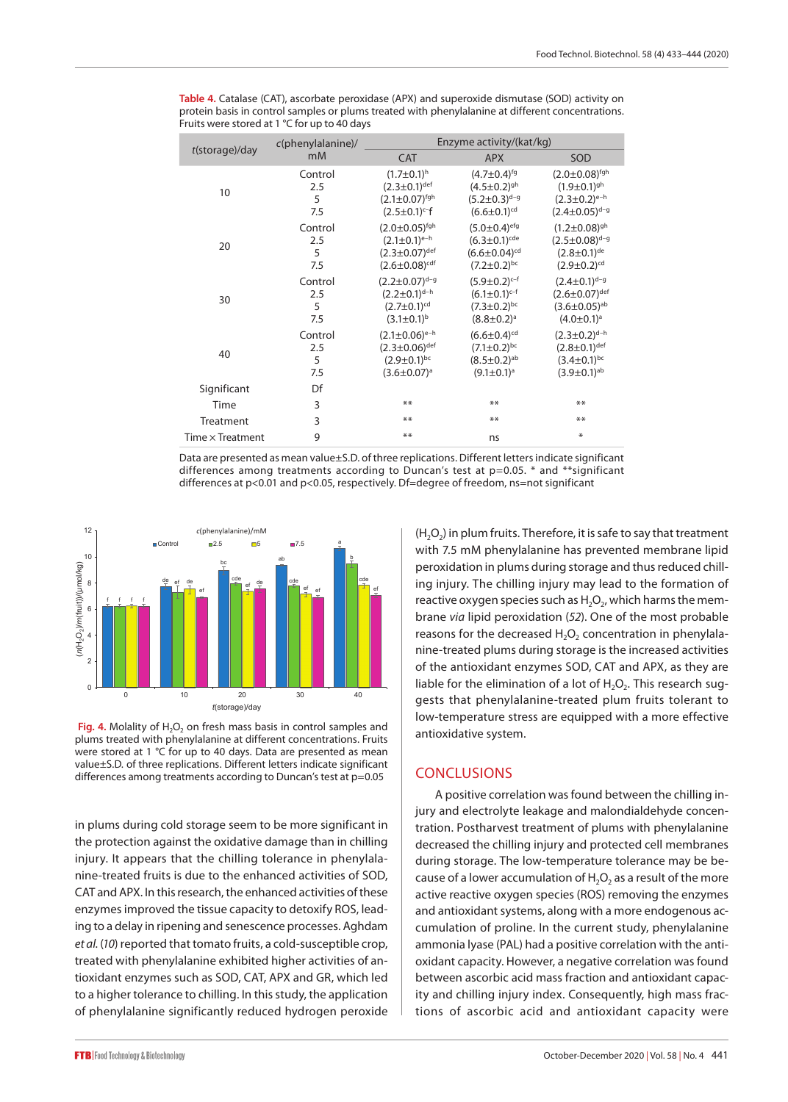|                         | $c(phenylalanine)$ /       | Enzyme activity/(kat/kg)                                                                                              |                                                                                                                   |                                                                                                          |  |  |
|-------------------------|----------------------------|-----------------------------------------------------------------------------------------------------------------------|-------------------------------------------------------------------------------------------------------------------|----------------------------------------------------------------------------------------------------------|--|--|
| $t$ (storage)/day       | m <sub>M</sub>             | <b>CAT</b>                                                                                                            | <b>APX</b>                                                                                                        | SOD                                                                                                      |  |  |
| 10                      | Control<br>2.5<br>5<br>7.5 | $(1.7 \pm 0.1)^{h}$<br>$(2.3 \pm 0.1)^{def}$<br>$(2.1 \pm 0.07)^{\text{fgh}}$<br>$(2.5 \pm 0.1)$ <sup>c-f</sup>       | $(4.7 \pm 0.4)^{fg}$<br>$(4.5 \pm 0.2)^{gh}$<br>$(5.2 \pm 0.3)^{d-g}$<br>$(6.6 \pm 0.1)^{cd}$                     | $(2.0 \pm 0.08)^{\text{fgh}}$<br>$(1.9 \pm 0.1)^{gh}$<br>$(2.3 \pm 0.2)^{e-h}$<br>$(2.4 \pm 0.05)^{d-g}$ |  |  |
| 20                      | Control<br>2.5<br>5<br>7.5 | $(2.0 \pm 0.05)$ <sup>fgh</sup><br>$(2.1 \pm 0.1)^{e-h}$<br>$(2.3 \pm 0.07)^{def}$<br>$(2.6 \pm 0.08)$ <sup>cdf</sup> | $(5.0 \pm 0.4)$ <sup>efg</sup><br>$(6.3 \pm 0.1)^{cde}$<br>$(6.6 \pm 0.04)$ <sup>cd</sup><br>$(7.2 \pm 0.2)^{bc}$ | $(1.2 \pm 0.08)^{gh}$<br>$(2.5 \pm 0.08)^{d-g}$<br>$(2.8 \pm 0.1)^{de}$<br>$(2.9 \pm 0.2)$ <sup>cd</sup> |  |  |
| 30                      | Control<br>2.5<br>5<br>7.5 | $(2.2 \pm 0.07)^{d-g}$<br>$(2.2 \pm 0.1)$ <sup>d-h</sup><br>$(2.7 \pm 0.1)^{cd}$<br>$(3.1 \pm 0.1)^{b}$               | $(5.9 \pm 0.2)^{c-f}$<br>$(6.1 \pm 0.1)^{c-f}$<br>$(7.3 \pm 0.2)^{bc}$<br>$(8.8 \pm 0.2)^a$                       | $(2.4 \pm 0.1)^{d-g}$<br>$(2.6 \pm 0.07)$ def<br>$(3.6 \pm 0.05)$ <sup>ab</sup><br>$(4.0 \pm 0.1)^a$     |  |  |
| 40                      | Control<br>2.5<br>5<br>7.5 | $(2.1 \pm 0.06)^{e-h}$<br>$(2.3 \pm 0.06)$ def<br>$(2.9 \pm 0.1)^{bc}$<br>$(3.6 \pm 0.07)^a$                          | $(6.6 \pm 0.4)$ <sup>cd</sup><br>$(7.1 \pm 0.2)^{bc}$<br>$(8.5 \pm 0.2)$ <sup>ab</sup><br>$(9.1 \pm 0.1)^a$       | $(2.3 \pm 0.2)^{d-h}$<br>$(2.8 \pm 0.1)$ def<br>$(3.4 \pm 0.1)^{bc}$<br>$(3.9 \pm 0.1)^{ab}$             |  |  |
| Significant             | Df                         |                                                                                                                       |                                                                                                                   |                                                                                                          |  |  |
| Time                    | 3                          | **                                                                                                                    | **                                                                                                                | **                                                                                                       |  |  |
| Treatment               | 3                          | **                                                                                                                    | **                                                                                                                | **                                                                                                       |  |  |
| Time $\times$ Treatment | 9                          | **                                                                                                                    | ns                                                                                                                | ⋇                                                                                                        |  |  |

**Table 4.** Catalase (CAT), ascorbate peroxidase (APX) and superoxide dismutase (SOD) activity on protein basis in control samples or plums treated with phenylalanine at different concentrations. Fruits were stored at 1 °C for up to 40 days

Data are presented as mean value±S.D. of three replications. Different letters indicate significant differences among treatments according to Duncan's test at p=0.05. \* and \*\*significant differences at p<0.01 and p<0.05, respectively. Df=degree of freedom, ns=not significant



Fig. 4. Molality of H<sub>2</sub>O<sub>2</sub> on fresh mass basis in control samples and plums treated with phenylalanine at different concentrations. Fruits were stored at 1 °C for up to 40 days. Data are presented as mean value±S.D*.* of three replications. Different letters indicate significant differences among treatments according to Duncan's test at p=0.05

in plums during cold storage seem to be more significant in the protection against the oxidative damage than in chilling injury. It appears that the chilling tolerance in phenylalanine-treated fruits is due to the enhanced activities of SOD, CAT and APX. In this research, the enhanced activities of these enzymes improved the tissue capacity to detoxify ROS, leading to a delay in ripening and senescence processes. Aghdam *et al.* (*10*) reported that tomato fruits, a cold-susceptible crop, treated with phenylalanine exhibited higher activities of antioxidant enzymes such as SOD, CAT, APX and GR, which led to a higher tolerance to chilling. In this study, the application of phenylalanine significantly reduced hydrogen peroxide  $(H<sub>2</sub>O<sub>2</sub>)$  in plum fruits. Therefore, it is safe to say that treatment with 7.5 mM phenylalanine has prevented membrane lipid peroxidation in plums during storage and thus reduced chilling injury. The chilling injury may lead to the formation of reactive oxygen species such as  $H_2O_2$ , which harms the membrane *via* lipid peroxidation (*52*). One of the most probable reasons for the decreased  $H_2O_2$  concentration in phenylalanine-treated plums during storage is the increased activities of the antioxidant enzymes SOD, CAT and APX, as they are liable for the elimination of a lot of  $H_2O_2$ . This research suggests that phenylalanine-treated plum fruits tolerant to low-temperature stress are equipped with a more effective antioxidative system.

### **CONCLUSIONS**

A positive correlation was found between the chilling injury and electrolyte leakage and malondialdehyde concentration. Postharvest treatment of plums with phenylalanine decreased the chilling injury and protected cell membranes during storage. The low-temperature tolerance may be because of a lower accumulation of  $H_2O_2$  as a result of the more active reactive oxygen species (ROS) removing the enzymes and antioxidant systems, along with a more endogenous accumulation of proline. In the current study, phenylalanine ammonia lyase (PAL) had a positive correlation with the antioxidant capacity. However, a negative correlation was found between ascorbic acid mass fraction and antioxidant capacity and chilling injury index. Consequently, high mass fractions of ascorbic acid and antioxidant capacity were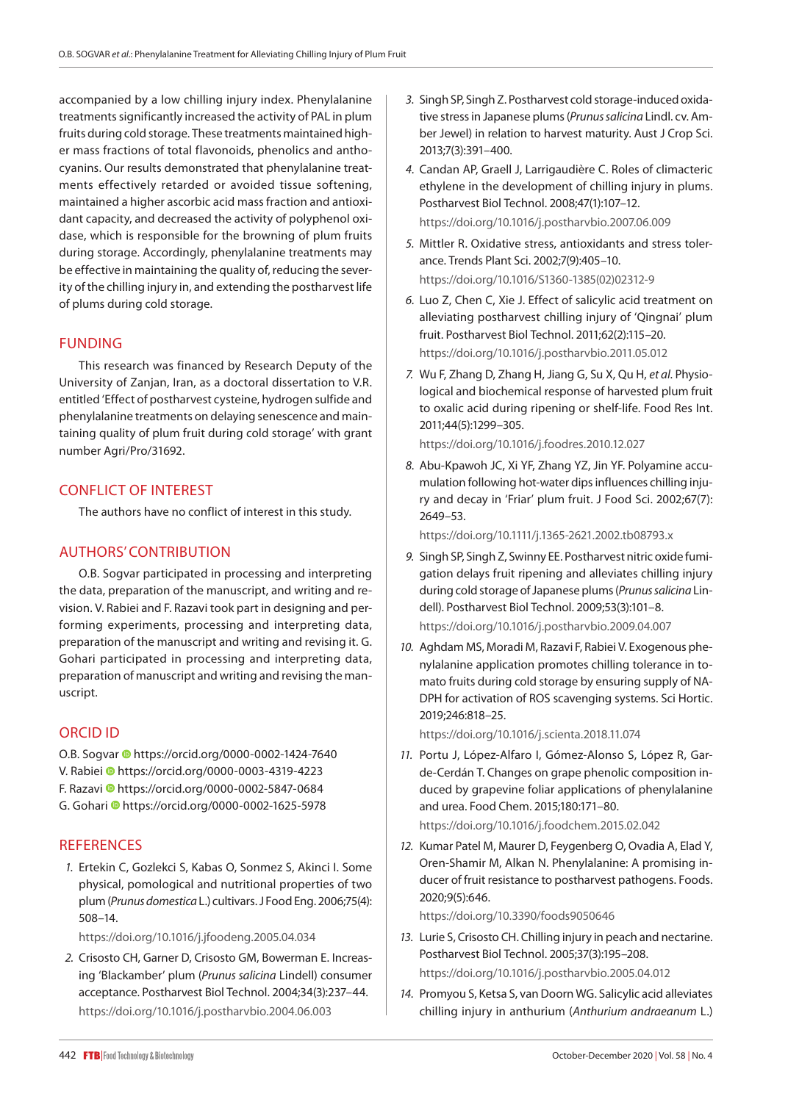accompanied by a low chilling injury index. Phenylalanine treatments significantly increased the activity of PAL in plum fruits during cold storage. These treatments maintained higher mass fractions of total flavonoids, phenolics and anthocyanins. Our results demonstrated that phenylalanine treatments effectively retarded or avoided tissue softening, maintained a higher ascorbic acid mass fraction and antioxidant capacity, and decreased the activity of polyphenol oxidase, which is responsible for the browning of plum fruits during storage. Accordingly, phenylalanine treatments may be effective in maintaining the quality of, reducing the severity of the chilling injury in, and extending the postharvest life of plums during cold storage.

## FUNDING

This research was financed by Research Deputy of the University of Zanjan, Iran, as a doctoral dissertation to V.R. entitled 'Effect of postharvest cysteine, hydrogen sulfide and phenylalanine treatments on delaying senescence and maintaining quality of plum fruit during cold storage' with grant number Agri/Pro/31692.

## CONFLICT OF INTEREST

The authors have no conflict of interest in this study.

## AUTHORS' CONTRIBUTION

O.B. Sogvar participated in processing and interpreting the data, preparation of the manuscript, and writing and revision. V. Rabiei and F. Razavi took part in designing and performing experiments, processing and interpreting data, preparation of the manuscript and writing and revising it. G. Gohari participated in processing and interpreting data, preparation of manuscript and writing and revising the manuscript.

## ORCID ID

O.B.Sogvar <sup>1</sup> https://orcid.org/0000-0002-1424-7640 V. Rabie[i h](https://orcid.org/0000-0003-4319-4223)ttps://orcid.org/0000-0003-4319-4223 F. Razavi <sup>https://orcid.org/0000-0002-5847-0684</sup> G. Gohari <sup>1</sup><https://orcid.org/0000-0002-1625-5978>

## **REFERENCES**

*1.* Ertekin C, Gozlekci S, Kabas O, Sonmez S, Akinci I. Some physical, pomological and nutritional properties of two plum (*Prunus domestica* L.) cultivars. J Food Eng. 2006;75(4): 508–14.

<https://doi.org/10.1016/j.jfoodeng.2005.04.034>

*2.* Crisosto CH, Garner D, Crisosto GM, Bowerman E. Increasing 'Blackamber' plum (*Prunus salicina* Lindell) consumer acceptance. Postharvest Biol Technol. 2004;34(3):237–44. <https://doi.org/10.1016/j.postharvbio.2004.06.003>

- *3.* Singh SP, Singh Z. Postharvest cold storage-induced oxidative stress in Japanese plums (*Prunus salicina* Lindl. cv. Amber Jewel) in relation to harvest maturity. Aust J Crop Sci. 2013;7(3):391–400.
- *4.* Candan AP, Graell J, Larrigaudière C. Roles of climacteric ethylene in the development of chilling injury in plums. Postharvest Biol Technol. 2008;47(1):107–12. <https://doi.org/10.1016/j.postharvbio.2007.06.009>
- *5.* Mittler R. Oxidative stress, antioxidants and stress tolerance. Trends Plant Sci. 2002;7(9):405–10. [https://doi.org/10.1016/S1360-1385\(02\)02312-9](https://doi.org/10.1016/S1360-1385(02)02312-9)
- *6.* Luo Z, Chen C, Xie J. Effect of salicylic acid treatment on alleviating postharvest chilling injury of 'Qingnai' plum fruit. Postharvest Biol Technol. 2011;62(2):115–20. <https://doi.org/10.1016/j.postharvbio.2011.05.012>
- *7.* Wu F, Zhang D, Zhang H, Jiang G, Su X, Qu H, *et al*. Physiological and biochemical response of harvested plum fruit to oxalic acid during ripening or shelf-life. Food Res Int. 2011;44(5):1299–305.

[https://doi.org/10.1016/](https://doi.org/10.1016/S1360-1385(02)02312-9)[j.foodres.2010.12.027](https://doi.org/10.1016/j.foodres.2010.12.027)

*8.* Abu‐Kpawoh JC, Xi YF, Zhang YZ, Jin YF. Polyamine accumulation following hot‐water dips influences chilling injury and decay in 'Friar' plum fruit. J Food Sci. 2002;67(7): 2649–53.

<https://doi.org/10.1111/j.1365-2621.2002.tb08793.x>

- *9.* Singh SP, Singh Z, Swinny EE. Postharvest nitric oxide fumigation delays fruit ripening and alleviates chilling injury during cold storage of Japanese plums (*Prunus salicina* Lindell). Postharvest Biol Technol. 2009;53(3):101–8. <https://doi.org/10.1016/j.postharvbio.2009.04.007>
- *10.* Aghdam MS, Moradi M, Razavi F, Rabiei V. Exogenous phenylalanine application promotes chilling tolerance in tomato fruits during cold storage by ensuring supply of NA-DPH for activation of ROS scavenging systems. Sci Hortic. 2019;246:818–25.

<https://doi.org/10.1016/j.scienta.2018.11.074>

- *11.* Portu J, López-Alfaro I, Gómez-Alonso S, López R, Garde-Cerdán T. Changes on grape phenolic composition induced by grapevine foliar applications of phenylalanine and urea. Food Chem. 2015;180:171–80. <https://doi.org/10.1016/j.foodchem.2015.02.042>
- *12.* Kumar Patel M, Maurer D, Feygenberg O, Ovadia A, Elad Y, Oren-Shamir M, Alkan N. Phenylalanine: A promising inducer of fruit resistance to postharvest pathogens. Foods. 2020;9(5):646.

<https://doi.org/10.3390/foods9050646>

- *13.* Lurie S, Crisosto CH. Chilling injury in peach and nectarine. Postharvest Biol Technol. 2005;37(3):195–208. <https://doi.org/10.1016/j.postharvbio.2005.04.012>
- *14.* Promyou S, Ketsa S, van Doorn WG. Salicylic acid alleviates chilling injury in anthurium (*Anthurium andraeanum* L.)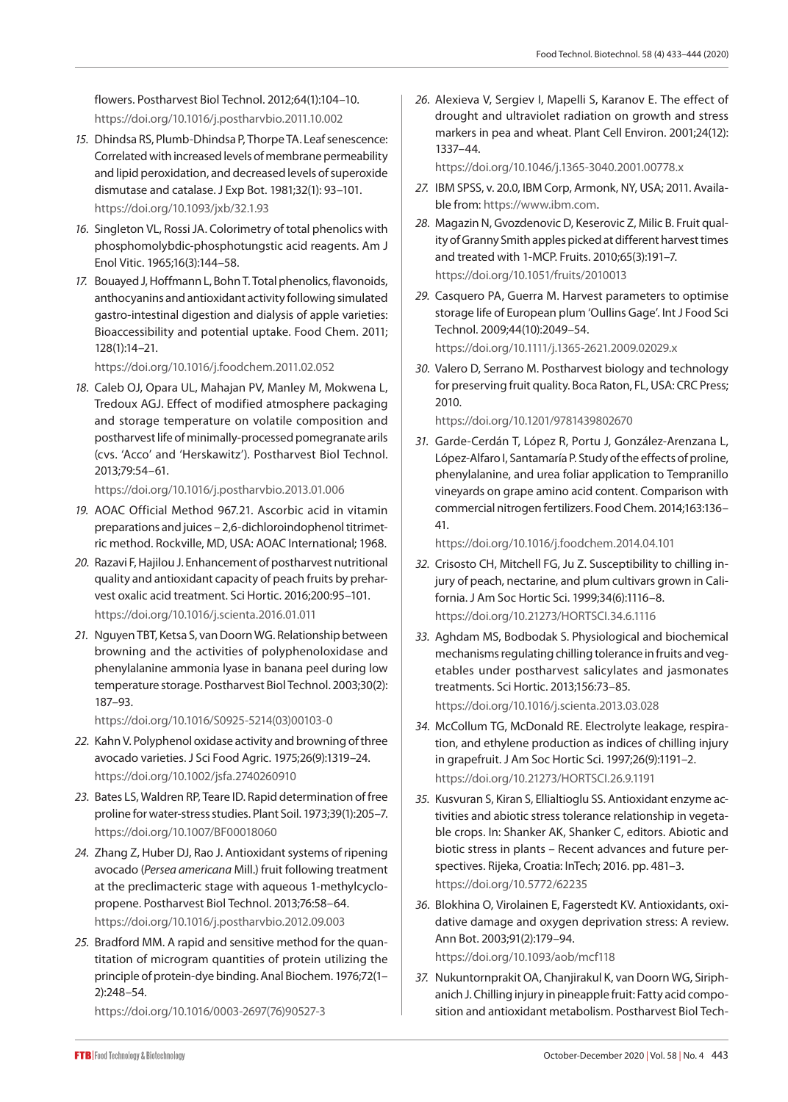flowers. Postharvest Biol Technol. 2012;64(1):104–10. <https://doi.org/10.1016/j.postharvbio.2011.10.002>

- *15.* Dhindsa RS, Plumb-Dhindsa P, Thorpe TA. Leaf senescence: Correlated with increased levels of membrane permeability and lipid peroxidation, and decreased levels of superoxide dismutase and catalase. J Exp Bot. 1981;32(1): 93–101. <https://doi.org/10.1093/jxb/32.1.93>
- *16.* Singleton VL, Rossi JA. Colorimetry of total phenolics with phosphomolybdic-phosphotungstic acid reagents. Am J Enol Vitic. 1965;16(3):144–58.
- *17.* Bouayed J, Hoffmann L, Bohn T. Total phenolics, flavonoids, anthocyanins and antioxidant activity following simulated gastro-intestinal digestion and dialysis of apple varieties: Bioaccessibility and potential uptake. Food Chem. 2011; 128(1):14–21.

<https://doi.org/10.1016/j.foodchem.2011.02.052>

*18.* Caleb OJ, Opara UL, Mahajan PV, Manley M, Mokwena L, Tredoux AGJ. Effect of modified atmosphere packaging and storage temperature on volatile composition and postharvest life of minimally-processed pomegranate arils (cvs. 'Acco' and 'Herskawitz'). Postharvest Biol Technol. 2013;79:54–61.

<https://doi.org/10.1016/j.postharvbio.2013.01.006>

- *19.* AOAC Official Method 967.21. Ascorbic acid in vitamin preparations and juices – 2,6-dichloroindophenol titrimetric method. Rockville, MD, USA: AOAC International; 1968.
- *20.* Razavi F, Hajilou J. Enhancement of postharvest nutritional quality and antioxidant capacity of peach fruits by preharvest oxalic acid treatment. Sci Hortic. 2016;200:95–101. <https://doi.org/10.1016/j.scienta.2016.01.011>
- *21.* Nguyen TBT, Ketsa S, van Doorn WG. Relationship between browning and the activities of polyphenoloxidase and phenylalanine ammonia lyase in banana peel during low temperature storage. Postharvest Biol Technol. 2003;30(2): 187–93.

[https://doi.org/10.1016/S0925-5214\(03\)00103-0](https://doi.org/10.1016/S0925-5214(03)00103-0)

- *22.* Kahn V. Polyphenol oxidase activity and browning of three avocado varieties. J Sci Food Agric. 1975;26(9):1319–24. <https://doi.org/10.1002/jsfa.2740260910>
- *23.* Bates LS, Waldren RP, Teare ID. Rapid determination of free proline for water-stress studies. Plant Soil. 1973;39(1):205–7. <https://doi.org/10.1007/BF00018060>
- *24.* Zhang Z, Huber DJ, Rao J. Antioxidant systems of ripening avocado (*Persea americana* Mill.) fruit following treatment at the preclimacteric stage with aqueous 1-methylcyclopropene. Postharvest Biol Technol. 2013;76:58–64. <https://doi.org/10.1016/j.postharvbio.2012.09.003>
- *25.* Bradford MM. A rapid and sensitive method for the quantitation of microgram quantities of protein utilizing the principle of protein-dye binding. Anal Biochem. 1976;72(1– 2):248–54.

[https://doi.org/10.1016/0003-2697\(76\)90527-3](https://doi.org/10.1016/0003-2697(76)90527-3)

*26.* Alexieva V, Sergiev I, Mapelli S, Karanov E. The effect of drought and ultraviolet radiation on growth and stress markers in pea and wheat. Plant Cell Environ. 2001;24(12): 1337–44.

<https://doi.org/10.1046/j.1365-3040.2001.00778.x>

- *27.* IBM SPSS, v. 20.0, IBM Corp, Armonk, NY, USA; 2011. Available from: https://www.ibm.com.
- *28.* Magazin N, Gvozdenovic D, Keserovic Z, Milic B. Fruit quality of Granny Smith apples picked at different harvest times and treated with 1-MCP. Fruits. 2010;65(3):191–7. <https://doi.org/10.1051/fruits/2010013>
- *29.* Casquero PA, Guerra M. Harvest parameters to optimise storage life of European plum 'Oullins Gage'. Int J Food Sci Technol. 2009;44(10):2049–54. <https://doi.org/10.1111/j.1365-2621.2009.02029.x>
- *30.* Valero D, Serrano M. Postharvest biology and technology for preserving fruit quality. Boca Raton, FL, USA: CRC Press; 2010.

<https://doi.org/10.1201/9781439802670>

*31.* Garde-Cerdán T, López R, Portu J, González-Arenzana L, López-Alfaro I, Santamaría P. Study of the effects of proline, phenylalanine, and urea foliar application to Tempranillo vineyards on grape amino acid content. Comparison with commercial nitrogen fertilizers. Food Chem. 2014;163:136– 41.

https://doi.org/10.1016/j.foodchem.2014.04.101

- *32.* Crisosto CH, Mitchell FG, Ju Z. Susceptibility to chilling injury of peach, nectarine, and plum cultivars grown in California. J Am Soc Hortic Sci. 1999;34(6):1116–8. <https://doi.org/10.21273/HORTSCI.34.6.1116>
- *33.* Aghdam MS, Bodbodak S. Physiological and biochemical mechanisms regulating chilling tolerance in fruits and vegetables under postharvest salicylates and jasmonates treatments. Sci Hortic. 2013;156:73–85. <https://doi.org/10.1016/j.scienta.2013.03.028>
- *34.* McCollum TG, McDonald RE. Electrolyte leakage, respiration, and ethylene production as indices of chilling injury in grapefruit. J Am Soc Hortic Sci. 1997;26(9):1191–2. <https://doi.org/10.21273/HORTSCI.26.9.1191>
- *35.* Kusvuran S, Kiran S, Ellialtioglu SS. Antioxidant enzyme activities and abiotic stress tolerance relationship in vegetable crops. In: Shanker AK, Shanker C, editors. Abiotic and biotic stress in plants – Recent advances and future perspectives. Rijeka, Croatia: InTech; 2016. pp. 481–3. <https://doi.org/10.5772/62235>
- *36.* Blokhina O, Virolainen E, Fagerstedt KV. Antioxidants, oxidative damage and oxygen deprivation stress: A review. Ann Bot. 2003;91(2):179–94.

<https://doi.org/10.1093/aob/mcf118>

*37.* Nukuntornprakit OA, Chanjirakul K, van Doorn WG, Siriphanich J. Chilling injury in pineapple fruit: Fatty acid composition and antioxidant metabolism. Postharvest Biol Tech